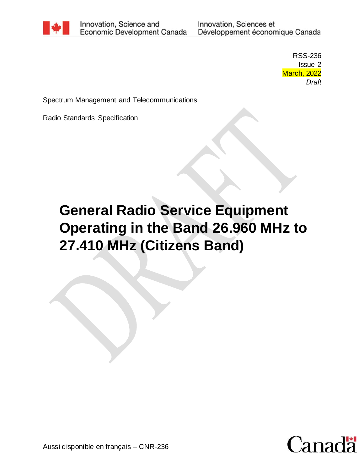

Innovation, Science and Economic Development Canada

Innovation, Sciences et Développement économique Canada

> RSS-236 Issue 2 March, 2022 *Draft*

Spectrum Management and Telecommunications

Radio Standards Specification

# **General Radio Service Equipment Operating in the Band 26.960 MHz to 27.410 MHz (Citizens Band)**

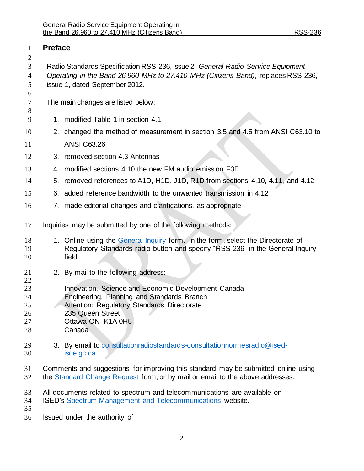| 1                                | <b>Preface</b>                                                                                                                                                                                         |                                                                                                                                                                                                     |  |  |
|----------------------------------|--------------------------------------------------------------------------------------------------------------------------------------------------------------------------------------------------------|-----------------------------------------------------------------------------------------------------------------------------------------------------------------------------------------------------|--|--|
| 2<br>3<br>4<br>5<br>6            | Radio Standards Specification RSS-236, issue 2, General Radio Service Equipment<br>Operating in the Band 26.960 MHz to 27.410 MHz (Citizens Band), replaces RSS-236,<br>issue 1, dated September 2012. |                                                                                                                                                                                                     |  |  |
| 7<br>8                           |                                                                                                                                                                                                        | The main changes are listed below:                                                                                                                                                                  |  |  |
| 9                                | 1.                                                                                                                                                                                                     | modified Table 1 in section 4.1                                                                                                                                                                     |  |  |
| 10                               |                                                                                                                                                                                                        | 2. changed the method of measurement in section 3.5 and 4.5 from ANSI C63.10 to                                                                                                                     |  |  |
| 11                               |                                                                                                                                                                                                        | <b>ANSI C63.26</b>                                                                                                                                                                                  |  |  |
| 12                               |                                                                                                                                                                                                        | 3. removed section 4.3 Antennas                                                                                                                                                                     |  |  |
| 13                               |                                                                                                                                                                                                        | 4. modified sections 4.10 the new FM audio emission F3E                                                                                                                                             |  |  |
| 14                               |                                                                                                                                                                                                        | 5. removed references to A1D, H1D, J1D, R1D from sections 4.10, 4.11, and 4.12                                                                                                                      |  |  |
| 15                               |                                                                                                                                                                                                        | 6. added reference bandwidth to the unwanted transmission in 4.12                                                                                                                                   |  |  |
| 16                               |                                                                                                                                                                                                        | 7. made editorial changes and clarifications, as appropriate                                                                                                                                        |  |  |
| 17                               |                                                                                                                                                                                                        | Inquiries may be submitted by one of the following methods:                                                                                                                                         |  |  |
| 18<br>19<br>20                   |                                                                                                                                                                                                        | 1. Online using the General Inquiry form. In the form, select the Directorate of<br>Regulatory Standards radio button and specify "RSS-236" in the General Inquiry<br>field.                        |  |  |
| 21<br>22                         |                                                                                                                                                                                                        | 2. By mail to the following address:                                                                                                                                                                |  |  |
| 23<br>24<br>25<br>26<br>27<br>28 |                                                                                                                                                                                                        | Innovation, Science and Economic Development Canada<br>Engineering, Planning and Standards Branch<br>Attention: Regulatory Standards Directorate<br>235 Queen Street<br>Ottawa ON K1A 0H5<br>Canada |  |  |
| 29<br>30                         |                                                                                                                                                                                                        | 3. By email to consultationradiostandards-consultationnormesradio@ised-<br>isde.gc.ca                                                                                                               |  |  |
| 31<br>32                         |                                                                                                                                                                                                        | Comments and suggestions for improving this standard may be submitted online using<br>the Standard Change Request form, or by mail or email to the above addresses.                                 |  |  |
| 33<br>34<br>35                   |                                                                                                                                                                                                        | All documents related to spectrum and telecommunications are available on<br>ISED's Spectrum Management and Telecommunications website.                                                             |  |  |
| 36                               |                                                                                                                                                                                                        | Issued under the authority of                                                                                                                                                                       |  |  |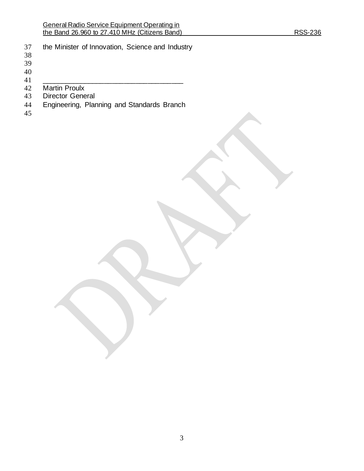- the Minister of Innovation, Science and Industry
- 
- 
- 
- $\begin{array}{c} 40 \\ 41 \end{array}$
- \_\_\_\_\_\_\_\_\_\_\_\_\_\_\_\_\_\_\_\_\_\_\_\_\_\_\_\_\_\_\_\_\_\_\_\_ Martin Proulx
- 
- Director General
- Engineering, Planning and Standards Branch
-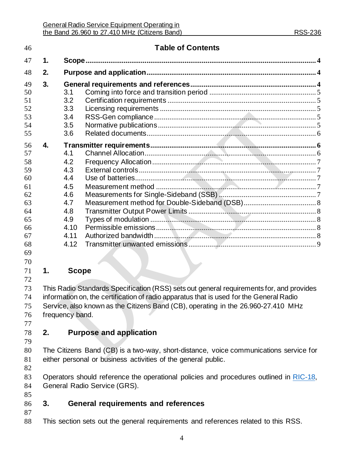| 46                               |               |                                 | <b>Table of Contents</b> |  |  |
|----------------------------------|---------------|---------------------------------|--------------------------|--|--|
| 47                               | $\mathbf 1$ . |                                 |                          |  |  |
| 48                               | 2.            |                                 |                          |  |  |
| 49<br>50<br>51<br>52<br>53<br>54 | 3.            | 3.1<br>3.2<br>3.3<br>3.4<br>3.5 |                          |  |  |
| 55                               |               | 3.6                             |                          |  |  |
| 56<br>57<br>58<br>59<br>60       | 4.            | 4.1<br>4.2<br>4.3<br>4.4        |                          |  |  |
| 61<br>62<br>63                   |               | 4.5<br>4.6<br>4.7               |                          |  |  |
| 64<br>65<br>66<br>67             |               | 4.8<br>4.9<br>4.10<br>4.11      |                          |  |  |
| 68<br>69<br>70                   |               | 4.12                            |                          |  |  |
| 71<br>72                         | 1.            | <b>Scope</b>                    |                          |  |  |

<span id="page-3-0"></span> This Radio Standards Specification (RSS) sets out general requirements for, and provides information on, the certification of radio apparatus that is used for the General Radio Service, also known as the Citizens Band (CB), operating in the 26.960-27.410 MHz frequency band.

- 
- <span id="page-3-1"></span>

#### **2. Purpose and application**

 The Citizens Band (CB) is a two-way, short-distance, voice communications service for either personal or business activities of the general public.

83 Operators should reference the operational policies and procedures outlined in [RIC-18,](https://www.ic.gc.ca/eic/site/smt-gst.nsf/eng/sf01016.html) General Radio Service (GRS).

# <span id="page-3-2"></span>**3. General requirements and references**

This section sets out the general requirements and references related to this RSS.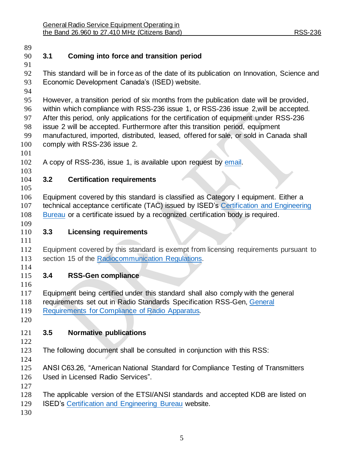<span id="page-4-4"></span><span id="page-4-3"></span><span id="page-4-2"></span><span id="page-4-1"></span><span id="page-4-0"></span>

| 89         |                                                                                        |                                                                                                                                                                         |  |  |  |  |
|------------|----------------------------------------------------------------------------------------|-------------------------------------------------------------------------------------------------------------------------------------------------------------------------|--|--|--|--|
| 90         | 3.1                                                                                    | Coming into force and transition period                                                                                                                                 |  |  |  |  |
| 91         |                                                                                        |                                                                                                                                                                         |  |  |  |  |
| 92         |                                                                                        | This standard will be in force as of the date of its publication on Innovation, Science and                                                                             |  |  |  |  |
| 93         |                                                                                        | Economic Development Canada's (ISED) website.                                                                                                                           |  |  |  |  |
| 94         |                                                                                        |                                                                                                                                                                         |  |  |  |  |
| 95         | However, a transition period of six months from the publication date will be provided, |                                                                                                                                                                         |  |  |  |  |
| 96         | within which compliance with RSS-236 issue 1, or RSS-236 issue 2, will be accepted.    |                                                                                                                                                                         |  |  |  |  |
| 97         | After this period, only applications for the certification of equipment under RSS-236  |                                                                                                                                                                         |  |  |  |  |
| 98         | issue 2 will be accepted. Furthermore after this transition period, equipment          |                                                                                                                                                                         |  |  |  |  |
| 99         | manufactured, imported, distributed, leased, offered for sale, or sold in Canada shall |                                                                                                                                                                         |  |  |  |  |
| 100        | comply with RSS-236 issue 2.                                                           |                                                                                                                                                                         |  |  |  |  |
| 101        |                                                                                        |                                                                                                                                                                         |  |  |  |  |
| 102        |                                                                                        | A copy of RSS-236, issue 1, is available upon request by email.                                                                                                         |  |  |  |  |
| 103        |                                                                                        |                                                                                                                                                                         |  |  |  |  |
| 104        | 3.2                                                                                    | <b>Certification requirements</b>                                                                                                                                       |  |  |  |  |
| 105        |                                                                                        |                                                                                                                                                                         |  |  |  |  |
| 106<br>107 |                                                                                        | Equipment covered by this standard is classified as Category I equipment. Either a                                                                                      |  |  |  |  |
| 108        |                                                                                        | technical acceptance certificate (TAC) issued by ISED's Certification and Engineering<br>Bureau or a certificate issued by a recognized certification body is required. |  |  |  |  |
| 109        |                                                                                        |                                                                                                                                                                         |  |  |  |  |
| 110        | 3.3                                                                                    | <b>Licensing requirements</b>                                                                                                                                           |  |  |  |  |
| 111        |                                                                                        |                                                                                                                                                                         |  |  |  |  |
| 112        |                                                                                        | Equipment covered by this standard is exempt from licensing requirements pursuant to                                                                                    |  |  |  |  |
| 113        |                                                                                        | section 15 of the Radiocommunication Regulations.                                                                                                                       |  |  |  |  |
| 114        |                                                                                        |                                                                                                                                                                         |  |  |  |  |
| 115        | 3.4                                                                                    | <b>RSS-Gen compliance</b>                                                                                                                                               |  |  |  |  |
| 116        |                                                                                        |                                                                                                                                                                         |  |  |  |  |
| 117        |                                                                                        | Equipment being certified under this standard shall also comply with the general                                                                                        |  |  |  |  |
| 118        |                                                                                        | requirements set out in Radio Standards Specification RSS-Gen, General                                                                                                  |  |  |  |  |
| 119        |                                                                                        | Requirements for Compliance of Radio Apparatus.                                                                                                                         |  |  |  |  |
| 120        |                                                                                        |                                                                                                                                                                         |  |  |  |  |
| 121        | 3.5                                                                                    | <b>Normative publications</b>                                                                                                                                           |  |  |  |  |
| 122        |                                                                                        |                                                                                                                                                                         |  |  |  |  |
| 123        |                                                                                        | The following document shall be consulted in conjunction with this RSS:                                                                                                 |  |  |  |  |
| 124        |                                                                                        |                                                                                                                                                                         |  |  |  |  |
| 125        |                                                                                        | ANSI C63.26, "American National Standard for Compliance Testing of Transmitters                                                                                         |  |  |  |  |
| 126        | Used in Licensed Radio Services".                                                      |                                                                                                                                                                         |  |  |  |  |
| 127        |                                                                                        |                                                                                                                                                                         |  |  |  |  |
| 128        |                                                                                        | The applicable version of the ETSI/ANSI standards and accepted KDB are listed on                                                                                        |  |  |  |  |
| 129        |                                                                                        | <b>ISED's Certification and Engineering Bureau website.</b>                                                                                                             |  |  |  |  |
| 130        |                                                                                        |                                                                                                                                                                         |  |  |  |  |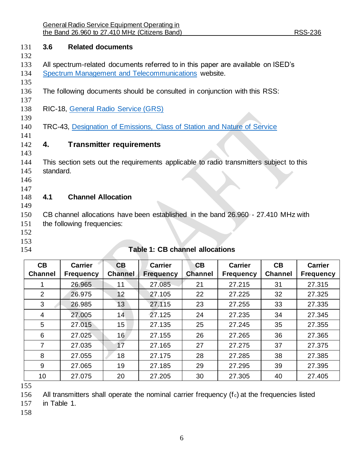## <span id="page-5-1"></span>**3.6 Related documents**

- 
- All spectrum-related documents referred to in this paper are available on ISED's
- [Spectrum Management and Telecommunications](http://www.ic.gc.ca/spectrum) website.
- The following documents should be consulted in conjunction with this RSS:
- 

RIC-18, [General Radio Service \(GRS\)](https://www.ic.gc.ca/eic/site/smt-gst.nsf/eng/sf01016.html)

- TRC-43, [Designation of Emissions, Class of Station and Nature of Service](https://www.ic.gc.ca/eic/site/smt-gst.nsf/eng/sf00057.html)
- 

<span id="page-5-2"></span>**4. Transmitter requirements**

- This section sets out the requirements applicable to radio transmitters subject to this standard.
- 
- 
- <span id="page-5-3"></span>**4.1 Channel Allocation**

 CB channel allocations have been established in the band 26.960 - 27.410 MHz with

the following frequencies:

- 
- 
- <span id="page-5-0"></span>

## **Table 1: CB channel allocations**

| CB<br><b>Channel</b> | <b>Carrier</b><br><b>Frequency</b> | CB<br><b>Channel</b> | <b>Carrier</b><br><b>Frequency</b> | CB<br><b>Channel</b> | <b>Carrier</b><br><b>Frequency</b> | CB<br><b>Channel</b> | <b>Carrier</b><br><b>Frequency</b> |
|----------------------|------------------------------------|----------------------|------------------------------------|----------------------|------------------------------------|----------------------|------------------------------------|
|                      | 26.965                             | 11                   | 27.085                             | 21                   | 27.215                             | 31                   | 27.315                             |
| 2                    | 26.975                             | 12                   | 27.105                             | 22                   | 27.225                             | 32                   | 27.325                             |
| 3                    | 26.985                             | 13                   | 27.115                             | 23                   | 27.255                             | 33                   | 27.335                             |
| 4                    | 27.005                             | 14                   | 27.125                             | 24                   | 27.235                             | 34                   | 27.345                             |
| 5                    | 27.015                             | 15                   | 27.135                             | 25                   | 27.245                             | 35                   | 27.355                             |
| 6                    | 27.025                             | 16                   | 27.155                             | 26                   | 27.265                             | 36                   | 27.365                             |
| 7                    | 27.035                             | 17                   | 27.165                             | 27                   | 27.275                             | 37                   | 27.375                             |
| 8                    | 27.055                             | 18                   | 27.175                             | 28                   | 27.285                             | 38                   | 27.385                             |
| 9                    | 27.065                             | 19                   | 27.185                             | 29                   | 27.295                             | 39                   | 27.395                             |
| 10                   | 27.075                             | 20                   | 27.205                             | 30                   | 27.305                             | 40                   | 27.405                             |

156 All transmitters shall operate the nominal carrier frequency  $(f<sub>c</sub>)$  at the frequencies listed

in [Table 1.](#page-5-0)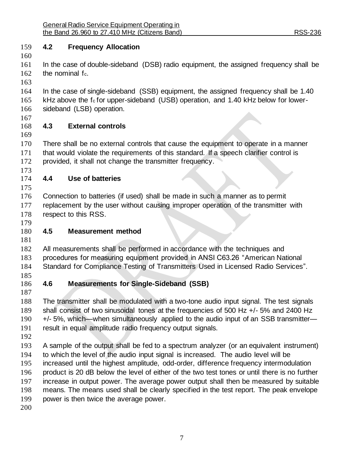## <span id="page-6-0"></span>**4.2 Frequency Allocation**

 In the case of double-sideband (DSB) radio equipment, the assigned frequency shall be 162 the nominal fc.

 In the case of single-sideband (SSB) equipment, the assigned frequency shall be 1.40 165 kHz above the fc for upper-sideband (USB) operation, and 1.40 kHz below for lower-sideband (LSB) operation.

- <span id="page-6-1"></span>**4.3 External controls**
- There shall be no external controls that cause the equipment to operate in a manner that would violate the requirements of this standard. If a speech clarifier control is provided, it shall not change the transmitter frequency.
- 

<span id="page-6-2"></span>**4.4 Use of batteries**

 Connection to batteries (if used) shall be made in such a manner as to permit 177 replacement by the user without causing improper operation of the transmitter with 178 respect to this RSS.

# <span id="page-6-3"></span>**4.5 Measurement method**

 All measurements shall be performed in accordance with the techniques and procedures for measuring equipment provided in ANSI C63.26 "American National Standard for Compliance Testing of Transmitters Used in Licensed Radio Services".

#### <span id="page-6-4"></span> **4.6 Measurements for Single-Sideband (SSB)**

 The transmitter shall be modulated with a two-tone audio input signal. The test signals shall consist of two sinusoidal tones at the frequencies of 500 Hz +/- 5% and 2400 Hz +/- 5%, which—when simultaneously applied to the audio input of an SSB transmitter— result in equal amplitude radio frequency output signals.

 A sample of the output shall be fed to a spectrum analyzer (or an equivalent instrument) to which the level of the audio input signal is increased. The audio level will be increased until the highest amplitude, odd-order, difference frequency intermodulation product is 20 dB below the level of either of the two test tones or until there is no further increase in output power. The average power output shall then be measured by suitable means. The means used shall be clearly specified in the test report. The peak envelope power is then twice the average power.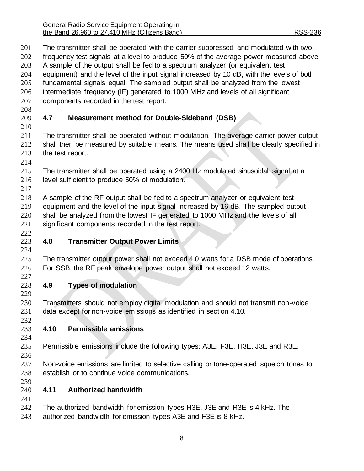General Radio Service Equipment Operating in the Band 26.960 to 27.410 MHz (Citizens Band) RSS-236

<span id="page-7-4"></span><span id="page-7-3"></span><span id="page-7-2"></span><span id="page-7-1"></span><span id="page-7-0"></span> The transmitter shall be operated with the carrier suppressed and modulated with two frequency test signals at a level to produce 50% of the average power measured above. A sample of the output shall be fed to a spectrum analyzer (or equivalent test equipment) and the level of the input signal increased by 10 dB, with the levels of both fundamental signals equal. The sampled output shall be analyzed from the lowest intermediate frequency (IF) generated to 1000 MHz and levels of all significant components recorded in the test report. **4.7 Measurement method for Double-Sideband (DSB)** The transmitter shall be operated without modulation. The average carrier power output shall then be measured by suitable means. The means used shall be clearly specified in the test report. The transmitter shall be operated using a 2400 Hz modulated sinusoidal signal at a level sufficient to produce 50% of modulation. A sample of the RF output shall be fed to a spectrum analyzer or equivalent test equipment and the level of the input signal increased by 16 dB. The sampled output shall be analyzed from the lowest IF generated to 1000 MHz and the levels of all significant components recorded in the test report. **4.8 Transmitter Output Power Limits** The transmitter output power shall not exceed 4.0 watts for a DSB mode of operations. For SSB, the RF peak envelope power output shall not exceed 12 watts. **4.9 Types of modulation** Transmitters should not employ digital modulation and should not transmit non-voice data except for non-voice emissions as identified in section 4.10. **4.10 Permissible emissions** Permissible emissions include the following types: A3E, F3E, H3E, J3E and R3E. Non-voice emissions are limited to selective calling or tone-operated squelch tones to establish or to continue voice communications. **4.11 Authorized bandwidth** The authorized bandwidth for emission types H3E, J3E and R3E is 4 kHz. The authorized bandwidth for emission types A3E and F3E is 8 kHz.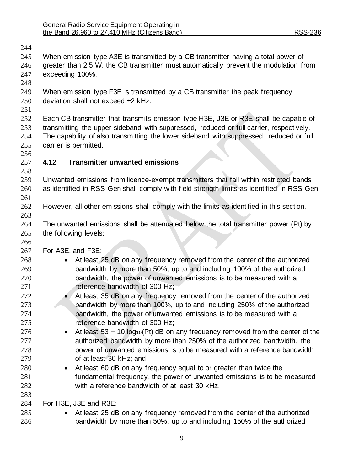<span id="page-8-0"></span>

| 244 |                                                                                       |                                                                                            |  |  |  |
|-----|---------------------------------------------------------------------------------------|--------------------------------------------------------------------------------------------|--|--|--|
| 245 |                                                                                       | When emission type A3E is transmitted by a CB transmitter having a total power of          |  |  |  |
| 246 | greater than 2.5 W, the CB transmitter must automatically prevent the modulation from |                                                                                            |  |  |  |
| 247 | exceeding 100%.                                                                       |                                                                                            |  |  |  |
| 248 |                                                                                       |                                                                                            |  |  |  |
| 249 |                                                                                       | When emission type F3E is transmitted by a CB transmitter the peak frequency               |  |  |  |
| 250 |                                                                                       | deviation shall not exceed ±2 kHz.                                                         |  |  |  |
| 251 |                                                                                       |                                                                                            |  |  |  |
| 252 |                                                                                       | Each CB transmitter that transmits emission type H3E, J3E or R3E shall be capable of       |  |  |  |
| 253 |                                                                                       | transmitting the upper sideband with suppressed, reduced or full carrier, respectively.    |  |  |  |
| 254 |                                                                                       | The capability of also transmitting the lower sideband with suppressed, reduced or full    |  |  |  |
| 255 | carrier is permitted.                                                                 |                                                                                            |  |  |  |
| 256 |                                                                                       |                                                                                            |  |  |  |
| 257 | 4.12                                                                                  | <b>Transmitter unwanted emissions</b>                                                      |  |  |  |
| 258 |                                                                                       |                                                                                            |  |  |  |
| 259 |                                                                                       | Unwanted emissions from licence-exempt transmitters that fall within restricted bands      |  |  |  |
| 260 |                                                                                       | as identified in RSS-Gen shall comply with field strength limits as identified in RSS-Gen. |  |  |  |
| 261 |                                                                                       |                                                                                            |  |  |  |
| 262 |                                                                                       | However, all other emissions shall comply with the limits as identified in this section.   |  |  |  |
| 263 |                                                                                       |                                                                                            |  |  |  |
| 264 |                                                                                       | The unwanted emissions shall be attenuated below the total transmitter power (Pt) by       |  |  |  |
| 265 | the following levels:                                                                 |                                                                                            |  |  |  |
| 266 |                                                                                       |                                                                                            |  |  |  |
| 267 | For A3E, and F3E:                                                                     |                                                                                            |  |  |  |
| 268 |                                                                                       | At least 25 dB on any frequency removed from the center of the authorized                  |  |  |  |
| 269 |                                                                                       | bandwidth by more than 50%, up to and including 100% of the authorized                     |  |  |  |
| 270 |                                                                                       | bandwidth, the power of unwanted emissions is to be measured with a                        |  |  |  |
| 271 |                                                                                       | reference bandwidth of 300 Hz;                                                             |  |  |  |
| 272 |                                                                                       | At least 35 dB on any frequency removed from the center of the authorized                  |  |  |  |
| 273 |                                                                                       | bandwidth by more than 100%, up to and including 250% of the authorized                    |  |  |  |
| 274 |                                                                                       | bandwidth, the power of unwanted emissions is to be measured with a                        |  |  |  |
| 275 |                                                                                       | reference bandwidth of 300 Hz;                                                             |  |  |  |
| 276 |                                                                                       | At least $53 + 10 \log_{10}(Pt)$ dB on any frequency removed from the center of the        |  |  |  |
| 277 |                                                                                       | authorized bandwidth by more than 250% of the authorized bandwidth, the                    |  |  |  |
| 278 |                                                                                       | power of unwanted emissions is to be measured with a reference bandwidth                   |  |  |  |
| 279 |                                                                                       | of at least 30 kHz; and                                                                    |  |  |  |
| 280 | $\bullet$                                                                             | At least 60 dB on any frequency equal to or greater than twice the                         |  |  |  |
| 281 |                                                                                       | fundamental frequency, the power of unwanted emissions is to be measured                   |  |  |  |
| 282 |                                                                                       | with a reference bandwidth of at least 30 kHz.                                             |  |  |  |
| 283 |                                                                                       |                                                                                            |  |  |  |
| 284 |                                                                                       | For H3E, J3E and R3E:                                                                      |  |  |  |
| 285 |                                                                                       | At least 25 dB on any frequency removed from the center of the authorized                  |  |  |  |
| 286 |                                                                                       | bandwidth by more than 50%, up to and including 150% of the authorized                     |  |  |  |
|     |                                                                                       |                                                                                            |  |  |  |